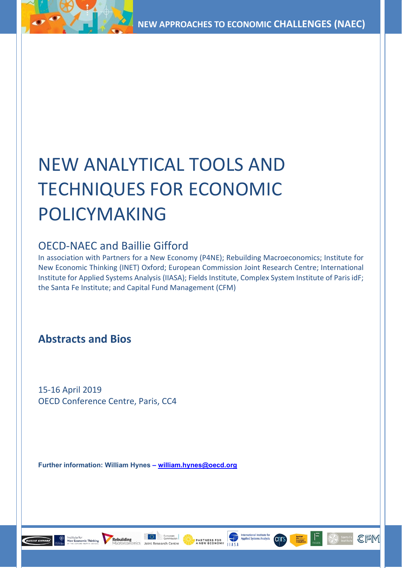# NEW ANALYTICAL TOOLS AND TECHNIQUES FOR ECONOMIC POLICYMAKING

# OECD-NAEC and Baillie Gifford

In association with Partners for a New Economy (P4NE); Rebuilding Macroeconomics; Institute for New Economic Thinking (INET) Oxford; European Commission Joint Research Centre; International Institute for Applied Systems Analysis (IIASA); Fields Institute, Complex System Institute of Paris idF; the Santa Fe Institute; and Capital Fund Management (CFM)

PARTNERS FOR

CFM

# **Abstracts and Bios**

15-16 April 2019 OECD Conference Centre, Paris, CC4

**Rebuilding** 

**BAILLIE GIFFORD** 

**Further information: William Hynes – [william.hynes@oecd.org](mailto:william.hynes@oecd.org)**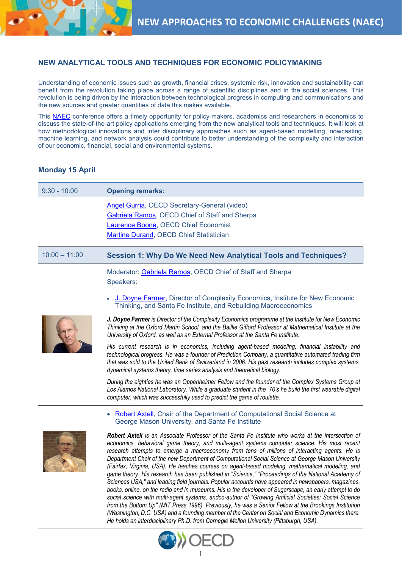## **NEW ANALYTICAL TOOLS AND TECHNIQUES FOR ECONOMIC POLICYMAKING**

Understanding of economic issues such as growth, financial crises, systemic risk, innovation and sustainability can benefit from the revolution taking place across a range of scientific disciplines and in the social sciences. This revolution is being driven by the interaction between technological progress in computing and communications and the new sources and greater quantities of data this makes available.

This [NAEC](http://www.oecd.org/naec/projects/naecinnovationlab/) conference offers a timely opportunity for policy-makers, academics and researchers in economics to discuss the state-of-the-art policy applications emerging from the new analytical tools and techniques. It will look at how methodological innovations and inter disciplinary approaches such as agent-based modelling, nowcasting, machine learning, and network analysis could contribute to better understanding of the complexity and interaction of our economic, financial, social and environmental systems.

## **Monday 15 April**

| $9:30 - 10:00$  | <b>Opening remarks:</b>                                                                                                                                                                                                                                                                                                                                                                                                                                                                                                                                                                                                                                                                                                                                                                                                                                                                                                                                                                                                                                |
|-----------------|--------------------------------------------------------------------------------------------------------------------------------------------------------------------------------------------------------------------------------------------------------------------------------------------------------------------------------------------------------------------------------------------------------------------------------------------------------------------------------------------------------------------------------------------------------------------------------------------------------------------------------------------------------------------------------------------------------------------------------------------------------------------------------------------------------------------------------------------------------------------------------------------------------------------------------------------------------------------------------------------------------------------------------------------------------|
|                 | Angel Gurria, OECD Secretary-General (video)<br><b>Gabriela Ramos, OECD Chief of Staff and Sherpa</b><br><b>Laurence Boone, OECD Chief Economist</b><br>Martine Durand, OECD Chief Statistician                                                                                                                                                                                                                                                                                                                                                                                                                                                                                                                                                                                                                                                                                                                                                                                                                                                        |
| $10:00 - 11:00$ | Session 1: Why Do We Need New Analytical Tools and Techniques?                                                                                                                                                                                                                                                                                                                                                                                                                                                                                                                                                                                                                                                                                                                                                                                                                                                                                                                                                                                         |
|                 | Moderator: Gabriela Ramos, OECD Chief of Staff and Sherpa<br>Speakers:                                                                                                                                                                                                                                                                                                                                                                                                                                                                                                                                                                                                                                                                                                                                                                                                                                                                                                                                                                                 |
|                 | J. Doyne Farmer, Director of Complexity Economics, Institute for New Economic<br>Thinking, and Santa Fe Institute, and Rebuilding Macroeconomics                                                                                                                                                                                                                                                                                                                                                                                                                                                                                                                                                                                                                                                                                                                                                                                                                                                                                                       |
|                 | J. Doyne Farmer is Director of the Complexity Economics programme at the Institute for New Economic<br>Thinking at the Oxford Martin School, and the Baillie Gifford Professor at Mathematical Institute at the<br>University of Oxford, as well as an External Professor at the Santa Fe Institute.                                                                                                                                                                                                                                                                                                                                                                                                                                                                                                                                                                                                                                                                                                                                                   |
|                 | His current research is in economics, including agent-based modeling, financial instability and<br>technological progress. He was a founder of Prediction Company, a quantitative automated trading firm<br>that was sold to the United Bank of Switzerland in 2006. His past research includes complex systems,<br>dynamical systems theory, time series analysis and theoretical biology.                                                                                                                                                                                                                                                                                                                                                                                                                                                                                                                                                                                                                                                            |
|                 | During the eighties he was an Oppenheimer Fellow and the founder of the Complex Systems Group at<br>Los Alamos National Laboratory. While a graduate student in the 70's he build the first wearable digital<br>computer, which was successfully used to predict the game of roulette.                                                                                                                                                                                                                                                                                                                                                                                                                                                                                                                                                                                                                                                                                                                                                                 |
|                 | Robert Axtell, Chair of the Department of Computational Social Science at<br>George Mason University, and Santa Fe Institute                                                                                                                                                                                                                                                                                                                                                                                                                                                                                                                                                                                                                                                                                                                                                                                                                                                                                                                           |
|                 | Robert Axtell is an Associate Professor of the Santa Fe Institute who works at the intersection of<br>economics, behavioral game theory, and multi-agent systems computer science. His most recent<br>research attempts to emerge a macroeconomy from tens of millions of interacting agents. He is<br>Department Chair of the new Department of Computational Social Science at George Mason University<br>(Fairfax, Virginia, USA). He teaches courses on agent-based modeling, mathematical modeling, and<br>game theory. His research has been published in "Science," "Proceedings of the National Academy of<br>Sciences USA," and leading field journals. Popular accounts have appeared in newspapers, magazines,<br>books, online, on the radio and in museums. His is the developer of Sugarscape, an early attempt to do<br>social science with multi-agent systems, andco-author of "Growing Artificial Societies: Social Science<br>from the Bottom Up" (MIT Press 1996). Previously, he was a Senior Fellow at the Brookings Institution |



*He holds an interdisciplinary Ph.D. from Carnegie Mellon University (Pittsburgh, USA).*

*(Washington, D.C. USA) and a founding member of the Center on Social and Economic Dynamics there.*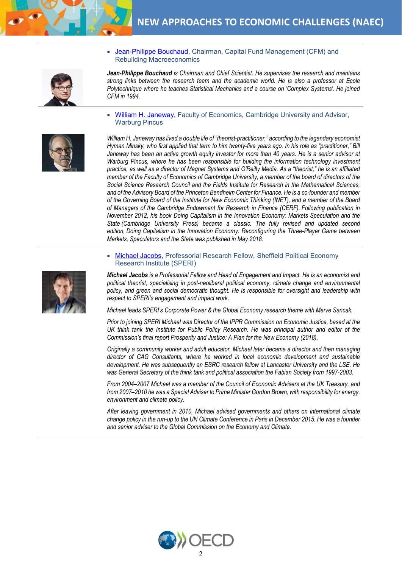

• [Jean-Philippe Bouchaud,](https://www.cfm.fr/who-we-are/) Chairman, Capital Fund Management (CFM) and Rebuilding Macroeconomics

- *Jean-Philippe Bouchaud is Chairman and Chief Scientist. He supervises the research and maintains strong links between the research team and the academic world. He is also a professor at Ecole Polytechnique where he teaches Statistical Mechanics and a course on 'Complex Systems'. He joined CFM in 1994.*
- [William H. Janeway,](https://www.warburgpincus.com/people/william-h-janeway/) Faculty of Economics, Cambridge University and Advisor, Warburg Pincus



*William H. Janeway has lived a double life of "theorist-practitioner," according to the legendary economist Hyman Minsky, who first applied that term to him twenty-five years ago. In his role as "practitioner," Bill Janeway has been an active growth equity investor for more than 40 years. He is a senior advisor at*  Warburg Pincus, where he has been responsible for building the information technology investment *practice, as well as a director of Magnet Systems and O'Reilly Media. As a "theorist," he is an affiliated member of the Faculty of Economics of Cambridge University, a member of the board of directors of the Social Science Research Council and the Fields Institute for Research in the Mathematical Sciences, and of the Advisory Board of the Princeton Bendheim Center for Finance. He is a co-founder and member of the Governing Board of the Institute for New Economic Thinking (INET), and a member of the Board of Managers of the Cambridge Endowment for Research in Finance (CERF). Following publication in November 2012, his book Doing Capitalism in the Innovation Economy: Markets Speculation and the State (Cambridge University Press) became a classic. The fully revised and updated second edition, Doing Capitalism in the Innovation Economy: Reconfiguring the Three-Player Game between Markets, Speculators and the State was published in May 2018.*

- 
- [Michael Jacobs,](http://speri.dept.shef.ac.uk/people/michael-jacobs/) Professorial Research Fellow, Sheffield Political Economy Research Institute (SPERI)

*Michael Jacobs is a Professorial Fellow and Head of Engagement and Impact. He is an economist and political theorist, specialising in post-neoliberal political economy, climate change and environmental policy, and green and social democratic thought. He is responsible for oversight and leadership with respect to SPERI's engagement and impact work.* 

*Michael leads SPERI's [Corporate Power & the Global Economy](http://speri.dept.shef.ac.uk/our-research/corporate-power-the-global-economy/) research theme with [Merve Sancak.](http://speri.dept.shef.ac.uk/people/merve-sancak/)*

*Prior to joining SPERI Michael was Director of the IPPR Commission on Economic Justice, based at the UK think tank the Institute for Public Policy Research. He was principal author and editor of the Commission's final report Prosperity and Justice: A Plan for the New Economy (2018).* 

*Originally a community worker and adult educator, Michael later became a director and then managing director of CAG Consultants, where he worked in local economic development and sustainable development. He was subsequently an ESRC research fellow at Lancaster University and the LSE. He was General Secretary of the think tank and political association the Fabian Society from 1997-2003.* 

*From 2004–2007 Michael was a member of the Council of Economic Advisers at the UK Treasury, and from 2007–2010 he was a Special Adviser to Prime Minister Gordon Brown, with responsibility for energy, environment and climate policy.* 

*After leaving government in 2010, Michael advised governments and others on international climate change policy in the run-up to the UN Climate Conference in Paris in December 2015. He was a founder and senior adviser to the Global Commission on the Economy and Climate.*

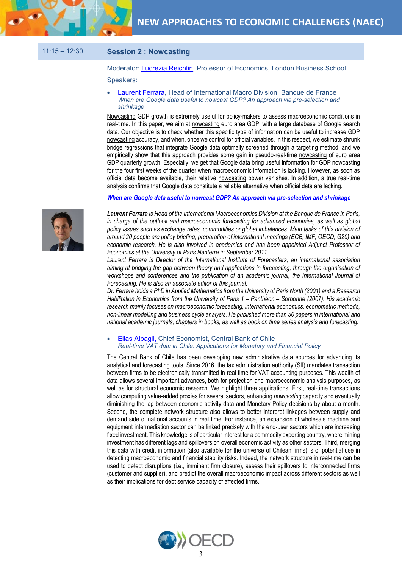

### 11:15 – 12:30 **Session 2 : Nowcasting**

Moderator: *Lucrezia Reichlin*, Professor of Economics, London Business School Speakers:

[Laurent Ferrara,](https://laurent-ferrara.org/) Head of International Macro Division, Banque de France *When are Google data useful to nowcast GDP? An approach via pre-selection and shrinkage*

Nowcasting GDP growth is extremely useful for policy-makers to assess macroeconomic conditions in real-time. In this paper, we aim at nowcasting euro area GDP with a large database of Google search data. Our objective is to check whether this specific type of information can be useful to increase GDP nowcasting accuracy, and when, once we control for official variables. In this respect, we estimate shrunk bridge regressions that integrate Google data optimally screened through a targeting method, and we empirically show that this approach provides some gain in pseudo-real-time nowcasting of euro area GDP quarterly growth. Especially, we get that Google data bring useful information for GDP nowcasting for the four first weeks of the quarter when macroeconomic information is lacking. However, as soon as official data become available, their relative nowcasting power vanishes. In addition, a true real-time analysis confirms that Google data constitute a reliable alternative when official data are lacking.

*[When are Google data useful to nowcast GDP? An approach via pre-selection and shrinkage](http://www.oecd.org/naec/new-economic-policymaking/Ferrara_Simoni.pdf)*



*Laurent Ferrara is Head of the International Macroeconomics Division at the Banque de France in Paris, in charge of the outlook and macroeconomic forecasting for advanced economies, as well as global policy issues such as exchange rates, commodities or global imbalances. Main tasks of this division of around 20 people are policy briefing, preparation of international meetings (ECB, IMF, OECD, G20) and economic research. He is also involved in academics and has been appointed Adjunct Professor of Economics at the University of Paris Nanterre in September 2011.* 

*Laurent Ferrara is Director of the International Institute of Forecasters, an international association aiming at bridging the gap between theory and applications in forecasting, through the organisation of*  workshops and conferences and the publication of an academic journal, the International Journal of *Forecasting. He is also an associate editor of this journal.* 

*Dr. Ferrara holds a PhD in Applied Mathematics from the University of Paris North (2001) and a Research Habilitation in Economics from the University of Paris 1 – Panthéon – Sorbonne (2007). His academic research mainly focuses on macroeconomic forecasting, international economics, econometric methods, non-linear modelling and business cycle analysis. He published more than 50 papers in international and national academic journals, chapters in books, as well as book on time series analysis and forecasting.*

• [Elias Albagli,](https://www.bcentral.cl/web/central-bank-of-chile/-/elias-albagli) Chief Economist, Central Bank of Chile *Real-time VAT data in Chile: Applications for Monetary and Financial Policy*

The Central Bank of Chile has been developing new administrative data sources for advancing its analytical and forecasting tools. Since 2016, the tax administration authority (SII) mandates transaction between firms to be electronically transmitted in real time for VAT accounting purposes. This wealth of data allows several important advances, both for projection and macroeconomic analysis purposes, as well as for structural economic research. We highlight three applications. First, real-time transactions allow computing value-added proxies for several sectors, enhancing *nowcasting* capacity and eventually diminishing the lag between economic activity data and Monetary Policy decisions by about a month. Second, the complete network structure also allows to better interpret linkages between supply and demand side of national accounts in real time. For instance, an expansion of wholesale machine and equipment intermediation sector can be linked precisely with the end-user sectors which are increasing fixed investment. This knowledge is of particular interest for a commodity exporting country, where mining investment has different lags and spillovers on overall economic activity as other sectors. Third, merging this data with credit information (also available for the universe of Chilean firms) is of potential use in detecting macroeconomic and financial stability risks. Indeed, the network structure in real-time can be used to detect disruptions (i.e., imminent firm closure), assess their spillovers to interconnected firms (customer and supplier), and predict the overall macroeconomic impact across different sectors as well as their implications for debt service capacity of affected firms.

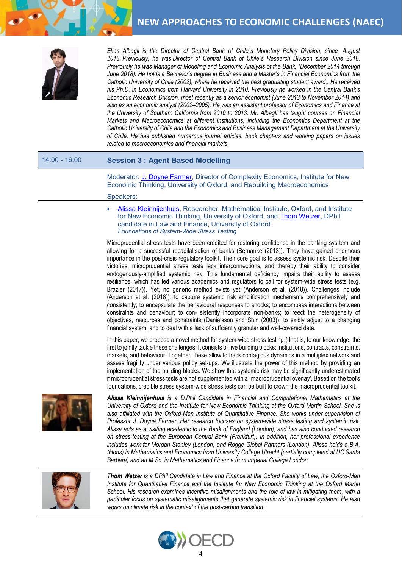

*Elías Albagli is the Director of Central Bank of Chile´s Monetary Policy Division, since August 2018. Previously, he was Director of Central Bank of Chile´s Research Division since June 2018. Previously he was Manager of Modeling and Economic Analysis of the Bank, (December 2014 through June 2018). He holds a Bachelor's degree in Business and a Master's in Financial Economics from the Catholic University of Chile (2002), where he received the best graduating student award.. He received his Ph.D. in Economics from Harvard University in 2010. Previously he worked in the Central Bank's Economic Research Division, most recently as a senior economist (June 2013 to November 2014) and also as an economic analyst (2002–2005). He was an assistant professor of Economics and Finance at the University of Southern California from 2010 to 2013. Mr. Albagli has taught courses on Financial Markets and Macroeconomics at different institutions, including the Economics Department at the Catholic University of Chile and the Economics and Business Management Department at the University of Chile. He has published numerous journal articles, book chapters and working papers on issues related to macroeconomics and financial markets.*

### 14:00 - 16:00 **Session 3 : Agent Based Modelling**

Moderator: [J. Doyne Farmer,](https://www.inet.ox.ac.uk/people/view/4) Director of Complexity Economics, Institute for New Economic Thinking, University of Oxford, and Rebuilding Macroeconomics

#### Speakers:

• [Alissa Kleinnijenhuis,](https://www.maths.ox.ac.uk/people/alissa.kleinnijenhuis) Researcher, Mathematical Institute, Oxford, and Institute for New Economic Thinking, University of Oxford, and **Thom Wetzer**, DPhil candidate in Law and Finance, University of Oxford *Foundations of System-Wide Stress Testing*

Microprudential stress tests have been credited for restoring confidence in the banking sys-tem and allowing for a successful recapitalisation of banks (Bernanke (2013)). They have gained enormous importance in the post-crisis regulatory toolkit. Their core goal is to assess systemic risk. Despite their victories, microprudential stress tests lack interconnections, and thereby their ability to consider endogenously-amplified systemic risk. This fundamental deficiency impairs their ability to assess resilience, which has led various academics and regulators to call for system-wide stress tests (e.g. Brazier (2017)). Yet, no generic method exists yet (Anderson et al. (2018)). Challenges include (Anderson et al. (2018)): to capture systemic risk amplification mechanisms comprehensively and consistently; to encapsulate the behavioural responses to shocks; to encompass interactions between constraints and behaviour; to con- sistently incorporate non-banks; to reect the heterogeneity of objectives, resources and constraints (Danielsson and Shin (2003)); to exibly adjust to a changing financial system; and to deal with a lack of suffciently granular and well-covered data.

In this paper, we propose a novel method for system-wide stress testing  $\{$  that is, to our knowledge, the first to jointly tackle these challenges. It consists of five building blocks: institutions, contracts, constraints, markets, and behaviour. Together, these allow to track contagious dynamics in a multiplex network and assess fragility under various policy set-ups. We illustrate the power of this method by providing an implementation of the building blocks. We show that systemic risk may be significantly underestimated if microprudential stress tests are not supplemented with a `macroprudential overlay'. Based on the tool's foundations, credible stress system-wide stress tests can be built to crown the macroprudential toolkit.



*Alissa Kleinnijenhuis is a D.Phil Candidate in Financial and Computational Mathematics at the University of Oxford and the Institute for New Economic Thinking at the Oxford Martin School. She is also affiliated with the Oxford-Man Institute of Quantitative Finance. She works under supervision of Professor J. Doyne Farmer. Her research focuses on system-wide stress testing and systemic risk. Alissa acts as a visiting academic to the Bank of England (London), and has also conducted research on stress-testing at the European Central Bank (Frankfurt). In addition, her professional experience includes work for Morgan Stanley (London) and Rogge Global Partners (London). Alissa holds a B.A. (Hons) in Mathematics and Economics from University College Utrecht (partially completed at UC Santa Barbara) and an M.Sc. in Mathematics and Finance from Imperial College London.*



*Thom Wetzer is a DPhil Candidate in Law and Finance at the Oxford Faculty of Law, the Oxford-Man Institute for Quantitative Finance and the Institute for New Economic Thinking at the Oxford Martin School. His research examines incentive misalignments and the role of law in mitigating them, with a particular focus on systematic misalignments that generate systemic risk in financial systems. He also works on climate risk in the context of the post-carbon transition.* 

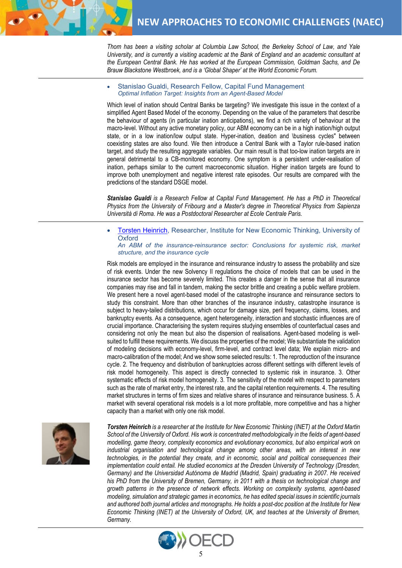

*Thom has been a visiting scholar at Columbia Law School, the Berkeley School of Law, and Yale University, and is currently a visiting academic at the Bank of England and an academic consultant at the European Central Bank. He has worked at the European Commission, Goldman Sachs, and De Brauw Blackstone Westbroek, and is a 'Global Shaper' at the World Economic Forum.*

• Stanislao Gualdi, Research Fellow, Capital Fund Management *Optimal Inflation Target: Insights from an Agent-Based Model*

Which level of ination should Central Banks be targeting? We investigate this issue in the context of a simplified Agent Based Model of the economy. Depending on the value of the parameters that describe the behaviour of agents (in particular ination anticipations), we find a rich variety of behaviour at the macro-level. Without any active monetary policy, our ABM economy can be in a high ination/high output state, or in a low ination/low output state. Hyper-ination, deation and \business cycles" between coexisting states are also found. We then introduce a Central Bank with a Taylor rule-based ination target, and study the resulting aggregate variables. Our main result is that too-low ination targets are in general detrimental to a CB-monitored economy. One symptom is a persistent under-realisation of ination, perhaps similar to the current macroeconomic situation. Higher ination targets are found to improve both unemployment and negative interest rate episodes. Our results are compared with the predictions of the standard DSGE model.

*Stanislao Gualdi is a Research Fellow at Capital Fund Management. He has a PhD in Theoretical Physics from the University of Fribourg and a Master's degree in Theoretical Physics from Sapienza Università di Roma. He was a Postdoctoral Researcher at Ecole Centrale Paris.*

**[Torsten Heinrich,](http://www.torsten-heinrich.com/) Researcher, Institute for New Economic Thinking, University of Oxford** *An ABM of the insurance-reinsurance sector: Conclusions for systemic risk, market* 

*structure, and the insurance cycle*

Risk models are employed in the insurance and reinsurance industry to assess the probability and size of risk events. Under the new Solvency II regulations the choice of models that can be used in the insurance sector has become severely limited. This creates a danger in the sense that all insurance companies may rise and fall in tandem, making the sector brittle and creating a public welfare problem. We present here a novel agent-based model of the catastrophe insurance and reinsurance sectors to study this constraint. More than other branches of the insurance industry, catastrophe insurance is subject to heavy-tailed distributions, which occur for damage size, peril frequency, claims, losses, and bankruptcy events. As a consequence, agent heterogeneity, interaction and stochastic influences are of crucial importance. Characterising the system requires studying ensembles of counterfactual cases and considering not only the mean but also the dispersion of realisations. Agent-based modeling is wellsuited to fulfill these requirements. We discuss the properties of the model; We substantiate the validation of modeling decisions with economy-level, firm-level, and contract level data; We explain micro- and macro-calibration of the model; And we show some selected results: 1. The reproduction of the insurance cycle. 2. The frequency and distribution of bankruptcies across different settings with different levels of risk model homogeneity. This aspect is directly connected to systemic risk in insurance. 3. Other systematic effects of risk model homogeneity. 3. The sensitivity of the model with respect to parameters such as the rate of market entry, the interest rate, and the capital retention requirements. 4. The resulting market structures in terms of firm sizes and relative shares of insurance and reinsurance business. 5. A market with several operational risk models is a lot more profitable, more competitive and has a higher capacity than a market with only one risk model.



*Torsten Heinrich is a researcher at the Institute for New Economic Thinking (INET) at the Oxford Martin School of the University of Oxford. His work is concentrated methodologically in the fields of agent-based modelling, game theory, complexity economics and evolutionary economics, but also empirical work on industrial organisation and technological change among other areas, with an interest in new technologies, in the potential they create, and in economic, social and political consequences their implementation could entail. He studied economics at the Dresden University of Technology (Dresden, Germany) and the Universidad Autónoma de Madrid (Madrid, Spain) graduating in 2007. He received his PhD from the University of Bremen, Germany, in 2011 with a thesis on technological change and growth patterns in the presence of network effects. Working on complexity systems, agent-based modeling, simulation and strategic games in economics, he has edited special issues in scientific journals and authored both journal articles and monographs. He holds a post-doc position at the Institute for New Economic Thinking (INET) at the University of Oxford, UK, and teaches at the University of Bremen, Germany.*

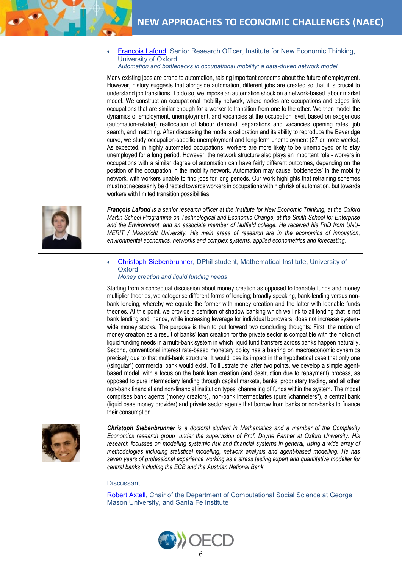• [Francois Lafond,](https://www.inet.ox.ac.uk/people/view/70) Senior Research Officer, Institute for New Economic Thinking, University of Oxford

*Automation and bottlenecks in occupational mobility: a data-driven network model*

Many existing jobs are prone to automation, raising important concerns about the future of employment. However, history suggests that alongside automation, different jobs are created so that it is crucial to understand job transitions. To do so, we impose an automation shock on a network-based labour market model. We construct an occupational mobility network, where nodes are occupations and edges link occupations that are similar enough for a worker to transition from one to the other. We then model the dynamics of employment, unemployment, and vacancies at the occupation level, based on exogenous (automation-related) reallocation of labour demand, separations and vacancies opening rates, job search, and matching. After discussing the model's calibration and its ability to reproduce the Beveridge curve, we study occupation-specific unemployment and long-term unemployment (27 or more weeks). As expected, in highly automated occupations, workers are more likely to be unemployed or to stay unemployed for a long period. However, the network structure also plays an important role - workers in occupations with a similar degree of automation can have fairly different outcomes, depending on the position of the occupation in the mobility network. Automation may cause 'bottlenecks' in the mobility network, with workers unable to find jobs for long periods. Our work highlights that retraining schemes must not necessarily be directed towards workers in occupations with high risk of automation, but towards workers with limited transition possibilities.



*François Lafond is a senior research officer at the Institute for New Economic Thinking, at the Oxford Martin School Programme on Technological and Economic Change, at the Smith School for Enterprise and the Environment, and an associate member of Nuffield college. He received his PhD from UNU-MERIT / Maastricht University. His main areas of research are in the economics of innovation, environmental economics, networks and complex systems, applied econometrics and forecasting.*

• [Christoph Siebenbrunner,](https://www.maths.ox.ac.uk/people/christoph.siebenbrunner) DPhil student, Mathematical Institute, University of **Oxford** *Money creation and liquid funding needs*

Starting from a conceptual discussion about money creation as opposed to loanable funds and money multiplier theories, we categorise different forms of lending; broadly speaking, bank-lending versus nonbank lending, whereby we equate the former with money creation and the latter with loanable funds theories. At this point, we provide a defnition of shadow banking which we link to all lending that is not bank lending and, hence, while increasing leverage for individual borrowers, does not increase systemwide money stocks. The purpose is then to put forward two concluding thoughts: First, the notion of money creation as a result of banks' loan creation for the private sector is compatible with the notion of liquid funding needs in a multi-bank system in which liquid fund transfers across banks happen naturally. Second, conventional interest rate-based monetary policy has a bearing on macroeconomic dynamics precisely due to that multi-bank structure. It would lose its impact in the hypothetical case that only one (\singular") commercial bank would exist. To illustrate the latter two points, we develop a simple agentbased model, with a focus on the bank loan creation (and destruction due to repayment) process, as opposed to pure intermediary lending through capital markets, banks' proprietary trading, and all other non-bank financial and non-financial institution types' channeling of funds within the system. The model comprises bank agents (money creators), non-bank intermediaries (pure \channelers"), a central bank (liquid base money provider),and private sector agents that borrow from banks or non-banks to finance their consumption.



*Christoph Siebenbrunner is a doctoral student in Mathematics and a member of the Complexity Economics research group under the supervision of Prof. Doyne Farmer at Oxford University. His*  research focusses on modelling systemic risk and financial systems in general, using a wide array of *methodologies including statistical modelling, network analysis and agent-based modelling. He has seven years of professional experience working as a stress testing expert and quantitative modeller for central banks including the ECB and the Austrian National Bank.*

Discussant:

[Robert Axtell,](http://css1.gmu.edu/%7Eaxtell/Rob/Home.html) Chair of the Department of Computational Social Science at George Mason University, and Santa Fe Institute

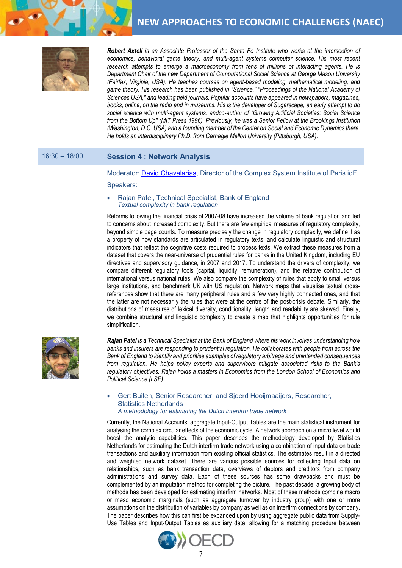

*Robert Axtell is an Associate Professor of the Santa Fe Institute who works at the intersection of*  economics, behavioral game theory, and multi-agent systems computer science. His most recent research attempts to emerge a macroeconomy from tens of millions of interacting agents. He is *Department Chair of the new Department of Computational Social Science at George Mason University (Fairfax, Virginia, USA). He teaches courses on agent-based modeling, mathematical modeling, and game theory. His research has been published in "Science," "Proceedings of the National Academy of Sciences USA," and leading field journals. Popular accounts have appeared in newspapers, magazines, books, online, on the radio and in museums. His is the developer of Sugarscape, an early attempt to do social science with multi-agent systems, andco-author of "Growing Artificial Societies: Social Science from the Bottom Up" (MIT Press 1996). Previously, he was a Senior Fellow at the Brookings Institution (Washington, D.C. USA) and a founding member of the Center on Social and Economic Dynamics there. He holds an interdisciplinary Ph.D. from Carnegie Mellon University (Pittsburgh, USA).*

### 16:30 – 18:00 **Session 4 : Network Analysis**

Moderator: [David Chavalarias,](http://cams.ehess.fr/david-chavalarias/) Director of the Complex System Institute of Paris idF

#### Speakers:

• Rajan Patel, Technical Specialist, Bank of England *Textual complexity in bank regulation*

Reforms following the financial crisis of 2007-08 have increased the volume of bank regulation and led to concerns about increased complexity. But there are few empirical measures of regulatory complexity, beyond simple page counts. To measure precisely the change in regulatory complexity, we define it as a property of how standards are articulated in regulatory texts, and calculate linguistic and structural indicators that reflect the cognitive costs required to process texts. We extract these measures from a dataset that covers the near-universe of prudential rules for banks in the United Kingdom, including EU directives and supervisory guidance, in 2007 and 2017. To understand the drivers of complexity, we compare different regulatory tools (capital, liquidity, remuneration), and the relative contribution of international versus national rules. We also compare the complexity of rules that apply to small versus large institutions, and benchmark UK with US regulation. Network maps that visualise textual crossreferences show that there are many peripheral rules and a few very highly connected ones, and that the latter are not necessarily the rules that were at the centre of the post-crisis debate. Similarly, the distributions of measures of lexical diversity, conditionality, length and readability are skewed. Finally, we combine structural and linguistic complexity to create a map that highlights opportunities for rule simplification.



*Rajan Patel is a Technical Specialist at the Bank of England where his work involves understanding how banks and insurers are responding to prudential regulation. He collaborates with people from across the Bank of England to identify and prioritise examples of regulatory arbitrage and unintended consequences from regulation. He helps policy experts and supervisors mitigate associated risks to the Bank's regulatory objectives. Rajan holds a masters in Economics from the London School of Economics and Political Science (LSE).*

• Gert Buiten, Senior Researcher, and Sjoerd Hooijmaaijers, Researcher, Statistics Netherlands *A methodology for estimating the Dutch interfirm trade network*

Currently, the National Accounts' aggregate Input-Output Tables are the main statistical instrument for analysing the complex circular effects of the economic cycle. A network approach on a micro level would boost the analytic capabilities. This paper describes the methodology developed by Statistics Netherlands for estimating the Dutch interfirm trade network using a combination of input data on trade transactions and auxiliary information from existing official statistics. The estimates result in a directed and weighted network dataset. There are various possible sources for collecting Input data on relationships, such as bank transaction data, overviews of debtors and creditors from company administrations and survey data. Each of these sources has some drawbacks and must be complemented by an imputation method for completing the picture. The past decade, a growing body of methods has been developed for estimating interfirm networks. Most of these methods combine macro or meso economic marginals (such as aggregate turnover by industry group) with one or more assumptions on the distribution of variables by company as well as on interfirm connections by company. The paper describes how this can first be expanded upon by using aggregate public data from Supply-Use Tables and Input-Output Tables as auxiliary data, allowing for a matching procedure between

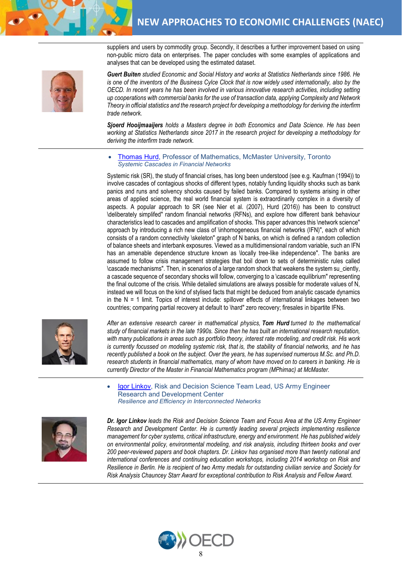suppliers and users by commodity group. Secondly, it describes a further improvement based on using non-public micro data on enterprises. The paper concludes with some examples of applications and analyses that can be developed using the estimated dataset.



*Guert Buiten studied Economic and Social History and works at Statistics Netherlands since 1986. He*  is one of the inventors of the Business Cylce Clock that is now widely used internationally, also by the *OECD. In recent years he has been involved in various innovative research activities, including setting up cooperations with commercial banks for the use of transaction data, applying Complexity and Network Theory in official statistics and the research project for developing a methodology for deriving the interfirm trade network.*

*Sjoerd Hooijmaaijers holds a Masters degree in both Economics and Data Science. He has been working at Statistics Netherlands since 2017 in the research project for developing a methodology for deriving the interfirm trade network.*

• [Thomas](https://www.math.mcmaster.ca/index.php/people/65-/professor/287-hurd-thomas-r.html) Hurd, Professor of Mathematics, McMaster University, Toronto *Systemic Cascades in Financial Networks*

Systemic risk (SR), the study of financial crises, has long been understood (see e.g. Kaufman (1994)) to involve cascades of contagious shocks of different types, notably funding liquidity shocks such as bank panics and runs and solvency shocks caused by failed banks. Compared to systems arising in other areas of applied science, the real world financial system is extraordinarily complex in a diversity of aspects. A popular approach to SR (see Nier et al. (2007), Hurd (2016)) has been to construct \deliberately simplifed" random financial networks (RFNs), and explore how different bank behaviour characteristics lead to cascades and amplification of shocks. This paper advances this \network science" approach by introducing a rich new class of \inhomogeneous financial networks (IFN)", each of which consists of a random connectivity \skeleton" graph of N banks, on which is defined a random collection of balance sheets and interbank exposures. Viewed as a multidimensional random variable, such an IFN has an amenable dependence structure known as *\locally* tree-like independence". The banks are assumed to follow crisis management strategies that boil down to sets of deterministic rules called \cascade mechanisms". Then, in scenarios of a large random shock that weakens the system su\_ciently, a cascade sequence of secondary shocks will follow, converging to a \cascade equilibrium" representing the final outcome of the crisis. While detailed simulations are always possible for moderate values of N, instead we will focus on the kind of stylised facts that might be deduced from analytic cascade dynamics in the  $N = 1$  limit. Topics of interest include: spillover effects of international linkages between two countries; comparing partial recovery at default to \hard" zero recovery; firesales in bipartite IFNs.



*After an extensive research career in mathematical physics, Tom Hurd turned to the mathematical study of financial markets in the late 1990s. Since then he has built an international research reputation, with many publications in areas such as portfolio theory, interest rate modeling, and credit risk. His work is currently focussed on modeling systemic risk, that is, the stability of financial networks, and he has recently published a book on the subject. Over the years, he has supervised numerous M.Sc. and Ph.D. research students in financial mathematics, many of whom have moved on to careers in banking. He is currently Director of the Master in Financial Mathematics program (MPhimac) at McMaster.*

• [Igor Linkov,](https://www.erdc.usace.army.mil/Media/Fact-Sheets/Fact-Sheet-Article-View/Article/920870/risk-and-decision-science/) Risk and Decision Science Team Lead, US Army Engineer Research and Development Center *Resilience and Efficiency in Interconnected Networks*



*Dr. Igor Linkov leads the Risk and Decision Science Team and Focus Area at the US Army Engineer Research and Development Center. He is currently leading several projects implementing resilience management for cyber systems, critical infrastructure, energy and environment. He has published widely on environmental policy, environmental modeling, and risk analysis, including thirteen books and over 200 peer-reviewed papers and book chapters. Dr. Linkov has organised more than twenty national and international conferences and continuing education workshops, including 2014 workshop on Risk and Resilience in Berlin. He is recipient of two Army medals for outstanding civilian service and Society for Risk Analysis Chauncey Starr Award for exceptional contribution to Risk Analysis and Fellow Award.*

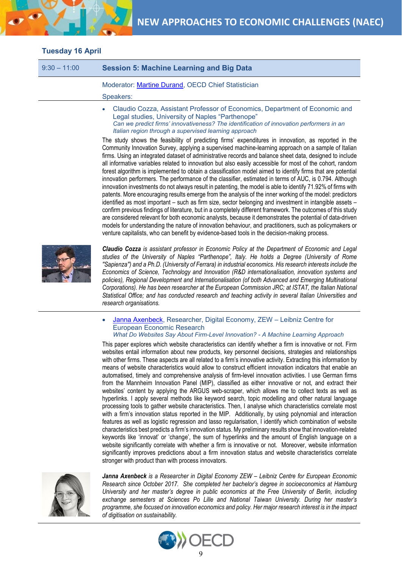

# **Tuesday 16 April**

| $9:30 - 11:00$ | <b>Session 5: Machine Learning and Big Data</b>    |
|----------------|----------------------------------------------------|
|                | Moderator: Martine Durand, OECD Chief Statistician |
|                | Speakers:                                          |
|                |                                                    |

• Claudio Cozza, Assistant Professor of Economics, Department of Economic and Legal studies, University of Naples "Parthenope" *Can we predict firms' innovativeness? The identification of innovation performers in an Italian region through a supervised learning approach*

The study shows the feasibility of predicting firms' expenditures in innovation, as reported in the Community Innovation Survey, applying a supervised machine-learning approach on a sample of Italian firms. Using an integrated dataset of administrative records and balance sheet data, designed to include all informative variables related to innovation but also easily accessible for most of the cohort, random forest algorithm is implemented to obtain a classification model aimed to identify firms that are potential innovation performers. The performance of the classifier, estimated in terms of AUC, is 0.794. Although innovation investments do not always result in patenting, the model is able to identify 71.92% of firms with patents. More encouraging results emerge from the analysis of the inner working of the model: predictors identified as most important – such as firm size, sector belonging and investment in intangible assets – confirm previous findings of literature, but in a completely different framework. The outcomes of this study are considered relevant for both economic analysts, because it demonstrates the potential of data-driven models for understanding the nature of innovation behaviour, and practitioners, such as policymakers or venture capitalists, who can benefit by evidence-based tools in the decision-making process.



*Claudio Cozza is assistant professor in Economic Policy at the Department of Economic and Legal studies of the University of Naples "Parthenope", Italy. He holds a Degree (University of Rome ''Sapienza'') and a Ph.D. (University of Ferrara) in industrial economics. His research interests include the Economics of Science, Technology and Innovation (R&D internationalisation, innovation systems and policies), Regional Development and Internationalisation (of both Advanced and Emerging Multinational Corporations). He has been researcher at the European Commission JRC; at ISTAT, the Italian National Statistical Office; and has conducted research and teaching activity in several Italian Universities and research organisations.*

• [Janna Axenbeck,](https://www.zew.de/en/team/jax/) Researcher, Digital Economy, ZEW – Leibniz Centre for European Economic Research *What Do Websites Say About Firm-Level Innovation? - A Machine Learning Approach*

This paper explores which website characteristics can identify whether a firm is innovative or not. Firm websites entail information about new products, key personnel decisions, strategies and relationships with other firms. These aspects are all related to a firm's innovative activity. Extracting this information by means of website characteristics would allow to construct efficient innovation indicators that enable an automatised, timely and comprehensive analysis of firm-level innovation activities. I use German firms from the Mannheim Innovation Panel (MIP), classified as either innovative or not, and extract their websites' content by applying the ARGUS web-scraper, which allows me to collect texts as well as hyperlinks. I apply several methods like keyword search, topic modelling and other natural language processing tools to gather website characteristics. Then, I analyse which characteristics correlate most with a firm's innovation status reported in the MIP. Additionally, by using polynomial and interaction features as well as logistic regression and lasso regularisation, I identify which combination of website characteristics best predicts a firm's innovation status. My preliminary results show that innovation-related keywords like 'innovat' or 'change', the sum of hyperlinks and the amount of English language on a website significantly correlate with whether a firm is innovative or not. Moreover, website information significantly improves predictions about a firm innovation status and website characteristics correlate stronger with product than with process innovators.



*Janna Axenbeck is a Researcher in Digital Economy ZEW – Leibniz Centre for European Economic Research since October 2017. She completed her bachelor's degree in socioeconomics at Hamburg University and her master's degree in public economics at the Free University of Berlin, including exchange semesters at Sciences Po Lille and National Taiwan University. During her master's programme, she focused on innovation economics and policy. Her major research interest is in the impact of digitisation on sustainability.*

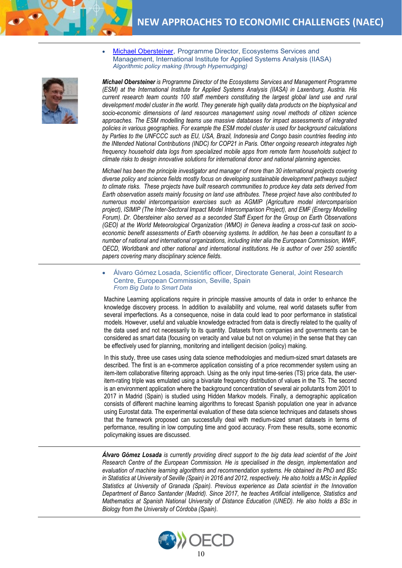• [Michael Obersteiner,](http://www.iiasa.ac.at/web/home/research/researchPrograms/EcosystemsServicesandManagement/Obersteiner--Michael.en.html) Programme Director, Ecosystems Services and Management, International Institute for Applied Systems Analysis (IIASA) *Algorithmic policy making (through Hypernudging)*

*Michael Obersteiner is Programme Director of the Ecosystems Services and Management Programme (ESM) at the International Institute for Applied Systems Analysis (IIASA) in Laxenburg, Austria. His current research team counts 100 staff members constituting the largest global land use and rural development model cluster in the world. They generate high quality data products on the biophysical and socio-economic dimensions of land resources management using novel methods of citizen science approaches. The ESM modelling teams use massive databases for impact assessments of integrated policies in various geographies. For example the ESM model cluster is used for background calculations by Parties to the UNFCCC such as EU, USA, Brazil, Indonesia and Congo basin countries feeding into the INtended National Contributions (INDC) for COP21 in Paris. Other ongoing research integrates high frequency household data logs from specialized mobile apps from remote farm households subject to climate risks to design innovative solutions for international donor and national planning agencies.* 

*Michael has been the principle investigator and manager of more than 30 international projects covering diverse policy and science fields mostly focus on developing sustainable development pathways subject to climate risks. These projects have built research communities to produce key data sets derived from Earth observation assets mainly focusing on land use attributes. These project have also contributed to numerous model intercomparision exercises such as AGMIP (Agriculture model intercomparision project), ISIMIP (The Inter-Sectoral Impact Model Intercomparison Project), and EMF (Energy Modelling Forum). Dr. Obersteiner also served as a seconded Staff Expert for the Group on Earth Observations (GEO) at the World Meteorological Organization (WMO) in Geneva leading a cross-cut task on socioeconomic benefit assessments of Earth observing systems. In addition, he has been a consultant to a number of national and international organizations, including inter alia the European Commission, WWF, OECD, Worldbank and other national and international institutions. He is author of over 250 scientific papers covering many disciplinary science fields.*

• Álvaro Gómez Losada, Scientific officer, Directorate General, Joint Research Centre, European Commission, Seville, Spain *From Big Data to Smart Data*

Machine Learning applications require in principle massive amounts of data in order to enhance the knowledge discovery process. In addition to availability and volume, real world datasets suffer from several imperfections. As a consequence, noise in data could lead to poor performance in statistical models. However, useful and valuable knowledge extracted from data is directly related to the quality of the data used and not necessarily to its quantity. Datasets from companies and governments can be considered as smart data (focusing on veracity and value but not on volume) in the sense that they can be effectively used for planning, monitoring and intelligent decision (policy) making.

In this study, three use cases using data science methodologies and medium-sized smart datasets are described. The first is an e-commerce application consisting of a price recommender system using an item-item collaborative filtering approach. Using as the only input time-series (TS) price data, the useritem-rating triple was emulated using a bivariate frequency distribution of values in the TS. The second is an environment application where the background concentration of several air pollutants from 2001 to 2017 in Madrid (Spain) is studied using Hidden Markov models. Finally, a demographic application consists of different machine learning algorithms to forecast Spanish population one year in advance using Eurostat data. The experimental evaluation of these data science techniques and datasets shows that the framework proposed can successfully deal with medium-sized smart datasets in terms of performance, resulting in low computing time and good accuracy. From these results, some economic policymaking issues are discussed.

*Álvaro Gómez Losada is currently providing direct support to the big data lead scientist of the Joint Research Centre of the European Commission. He is specialised in the design, implementation and evaluation of machine learning algorithms and recommendation systems. He obtained its PhD and BSc in Statistics at University of Seville (Spain) in 2016 and 2012, respectively. He also holds a MSc in Applied Statistics at University of Granada (Spain). Previous experience as Data scientist in the Innovation Department of Banco Santander (Madrid). Since 2017, he teaches Artificial intelligence, Statistics and Mathematics at Spanish National University of Distance Education (UNED). He also holds a BSc in Biology from the University of Córdoba (Spain).*



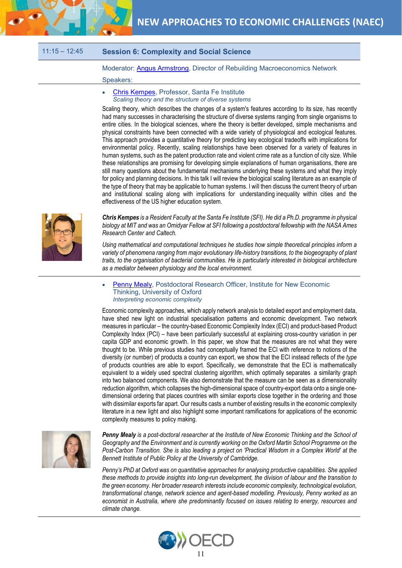

### 11:15 – 12:45 **Session 6: Complexity and Social Science**

Moderator: [Angus Armstrong,](https://www.niesr.ac.uk/users/angus-armstrong) Director of Rebuilding Macroeconomics Network

#### Speakers:

#### [Chris Kempes,](https://www.santafe.edu/people/profile/chris-kempes) Professor, Santa Fe Institute *Scaling theory and the structure of diverse systems*

Scaling theory, which describes the changes of a system's features according to its size, has recently had many successes in characterising the structure of diverse systems ranging from single organisms to entire cities. In the biological sciences, where the theory is better developed, simple mechanisms and physical constraints have been connected with a wide variety of physiological and ecological features. This approach provides a quantitative theory for predicting key ecological tradeoffs with implications for environmental policy. Recently, scaling relationships have been observed for a variety of features in human systems, such as the patent production rate and violent crime rate as a function of city size. While these relationships are promising for developing simple explanations of human organisations, there are still many questions about the fundamental mechanisms underlying these systems and what they imply for policy and planning decisions. In this talk I will review the biological scaling literature as an example of the type of theory that may be applicable to human systems. I will then discuss the current theory of urban and institutional scaling along with implications for understanding inequality within cities and the effectiveness of the US higher education system.



*Chris Kempes is a Resident Faculty at the Santa Fe Institute (SFI). He did a Ph.D. programme in physical biology at MIT and was an Omidyar Fellow at SFI following a postdoctoral fellowship with the NASA Ames Research Center and Caltech.*

*Using mathematical and computational techniques he studies how simple theoretical principles inform a variety of phenomena ranging from major evolutionary life-history transitions, to the biogeography of plant traits, to the organisation of bacterial communities. He is particularly interested in biological architecture as a mediator between physiology and the local environment.*

#### • [Penny Mealy,](https://www.inet.ox.ac.uk/people/view/86) Postdoctoral Research Officer, Institute for New Economic Thinking, University of Oxford *Interpreting economic complexity*

Economic complexity approaches, which apply network analysis to detailed export and employment data, have shed new light on industrial specialisation patterns and economic development. Two network measures in particular – the country-based Economic Complexity Index (ECI) and product-based Product Complexity Index (PCI) – have been particularly successful at explaining cross-country variation in per capita GDP and economic growth. In this paper, we show that the measures are not what they were thought to be. While previous studies had conceptually framed the ECI with reference to notions of the diversity (or number) of products a country can export, we show that the ECI instead reflects of *the type* of products countries are able to export. Specifically, we demonstrate that the ECI is mathematically equivalent to a widely used spectral clustering algorithm, which optimally separates a similarity graph into two balanced components. We also demonstrate that the measure can be seen as a dimensionality reduction algorithm, which collapses the high-dimensional space of country-export data onto a single onedimensional ordering that places countries with similar exports close together in the ordering and those with dissimilar exports far apart. Our results casts a number of existing results in the economic complexity literature in a new light and also highlight some important ramifications for applications of the economic complexity measures to policy making.



*Penny Mealy is a post-doctoral researcher at the Institute of New Economic Thinking and the School of Geography and the Environment and is currently working on the Oxford Martin School Programme on the Post-Carbon Transition. She is also leading a project on 'Practical Wisdom in a Complex World' at the Bennett Institute of Public Policy at the University of Cambridge.*

*Penny's PhD at Oxford was on quantitative approaches for analysing productive capabilities. She applied these methods to provide insights into long-run development, the division of labour and the transition to the green economy. Her broader research interests include economic complexity, technological evolution, transformational change, network science and agent-based modelling. Previously, Penny worked as an economist in Australia, where she predominantly focused on issues relating to energy, resources and climate change.*

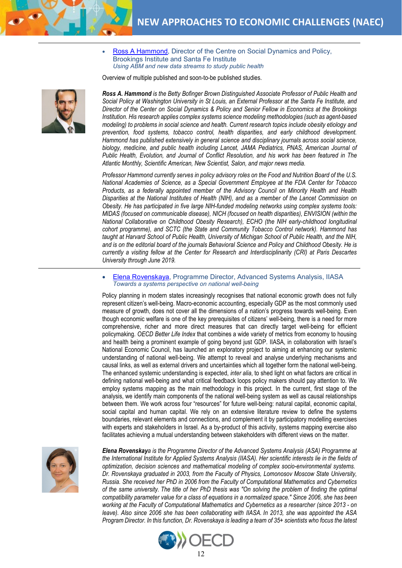

• [Ross A Hammond,](https://www.brookings.edu/experts/ross-a-hammond/) Director of the Centre on Social Dynamics and Policy, Brookings Institute and Santa Fe Institute *Using ABM and new data streams to study public health*

Overview of multiple published and soon-to-be published studies.

*Ross A. Hammond is the Betty Bofinger Brown Distinguished Associate Professor of Public Health and Social Policy at Washington University in St Louis, an External Professor at the Santa Fe Institute, and Director of the Center on Social Dynamics & Policy and Senior Fellow in Economics at the Brookings Institution. His research applies complex systems science modeling methodologies (such as agent-based modeling) to problems in social science and health. Current research topics include obesity etiology and prevention, food systems, tobacco control, health disparities, and early childhood development. Hammond has published extensively in general science and disciplinary journals across social science, biology, medicine, and public health including Lancet, JAMA Pediatrics, PNAS, American Journal of Public Health, Evolution, and Journal of Conflict Resolution, and his work has been featured in The Atlantic Monthly, Scientific American, New Scientist, Salon, and major news media.* 

*Professor Hammond currently serves in policy advisory roles on the Food and Nutrition Board of the U.S. National Academies of Science, as a Special Government Employee at the FDA Center for Tobacco Products, as a federally appointed member of the Advisory Council on Minority Health and Health Disparities at the National Institutes of Health (NIH), and as a member of the Lancet Commission on Obesity. He has participated in five large NIH-funded modeling networks using complex systems tools: MIDAS (focused on communicable disease), NICH (focused on health disparities), ENVISION (within the National Collaborative on Childhood Obesity Research), ECHO (the NIH early-childhood longitudinal cohort programme), and SCTC (the State and Community Tobacco Control network). Hammond has taught at Harvard School of Public Health, University of Michigan School of Public Health, and the NIH, and is on the editorial board of the journals Behavioral Science and Policy and Childhood Obesity. He is currently a visiting fellow at the Center for Research and Interdisciplinarity (CRI) at Paris Descartes University through June 2019.*

• [Elena Rovenskaya,](http://www.iiasa.ac.at/staff/staff.php?type=auto&visibility=visible&search=true&login=rovenska) Programme Director, Advanced Systems Analysis, IIASA *Towards a systems perspective on national well-being*

Policy planning in modern states increasingly recognises that national economic growth does not fully represent citizen's well-being. Macro-economic accounting, especially GDP as the most commonly used measure of growth, does not cover all the dimensions of a nation's progress towards well-being. Even though economic welfare is one of the key prerequisites of citizens' well-being, there is a need for more comprehensive, richer and more direct measures that can directly target well-being for efficient policymaking. *OECD Better Life Index* that combines a wide variety of metrics from economy to housing and health being a prominent example of going beyond just GDP. IIASA, in collaboration with Israel's National Economic Council, has launched an exploratory project to aiming at enhancing our systemic understanding of national well-being. We attempt to reveal and analyse underlying mechanisms and causal links, as well as external drivers and uncertainties which all together form the national well-being. The enhanced systemic understanding is expected, *inter alia*, to shed light on what factors are critical in defining national well-being and what critical feedback loops policy makers should pay attention to. We employ systems mapping as the main methodology in this project. In the current, first stage of the analysis, we identify main components of the national well-being system as well as causal relationships between them. We work across four "resources" for future well-being: natural capital, economic capital, social capital and human capital. We rely on an extensive literature review to define the systems boundaries, relevant elements and connections, and complement it by participatory modelling exercises with experts and stakeholders in Israel. As a by-product of this activity, systems mapping exercise also facilitates achieving a mutual understanding between stakeholders with different views on the matter.



*Elena Rovenskaya is the Programme Director of the Advanced Systems Analysis (ASA) Programme at the International Institute for Applied Systems Analysis (IIASA). Her scientific interests lie in the fields of optimization, decision sciences and mathematical modeling of complex socio-environmental systems. Dr. Rovenskaya graduated in 2003, from the Faculty of Physics, Lomonosov Moscow State University, Russia. She received her PhD in 2006 from the Faculty of Computational Mathematics and Cybernetics of the same university. The title of her PhD thesis was "On solving the problem of finding the optimal compatibility parameter value for a class of equations in a normalized space." Since 2006, she has been working at the Faculty of Computational Mathematics and Cybernetics as a researcher (since 2013 - on leave). Also since 2006 she has been collaborating with IIASA. In 2013, she was appointed the ASA Program Director. In this function, Dr. Rovenskaya is leading a team of 35+ scientists who focus the latest* 



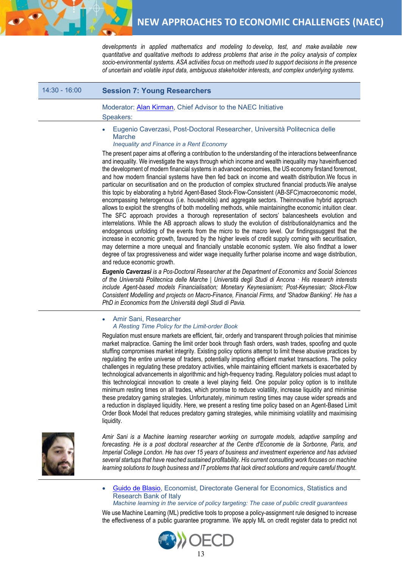

*developments in applied mathematics and modeling to develop, test, and make available new quantitative and qualitative methods to address problems that arise in the policy analysis of complex socio-environmental systems. ASA activities focus on methods used to support decisions in the presence of uncertain and volatile input data, ambiguous stakeholder interests, and complex underlying systems.*

# 14:30 - 16:00 **Session 7: Young Researchers**

### Moderator: [Alan Kirman,](https://www.ineteconomics.org/research/experts/akirman) Chief Advisor to the NAEC Initiative Speakers:

• Eugenio Caverzasi, Post-Doctoral Researcher, Università Politecnica delle Marche

#### *Inequality and Finance in a Rent Economy*

The present paper aims at offering a contribution to the understanding of the interactions betweenfinance and inequality. We investigate the ways through which income and wealth inequality may haveinfluenced the development of modern financial systems in advanced economies, the US economy firstand foremost, and how modern financial systems have then fed back on income and wealth distribution.We focus in particular on securitisation and on the production of complex structured financial products.We analyse this topic by elaborating a hybrid Agent-Based Stock-Flow-Consistent (AB-SFC)macroeconomic model, encompassing heterogenous (i.e. households) and aggregate sectors. Theinnovative hybrid approach allows to exploit the strengths of both modelling methods, while maintainingthe economic intuition clear. The SFC approach provides a thorough representation of sectors' balancesheets evolution and interrelations. While the AB approach allows to study the evolution of distributionaldynamics and the endogenous unfolding of the events from the micro to the macro level. Our findingssuggest that the increase in economic growth, favoured by the higher levels of credit supply coming with securitisation, may determine a more unequal and financially unstable economic system. We also findthat a lower degree of tax progressiveness and wider wage inequality further polarise income and wage distribution, and reduce economic growth.

*Eugenio Caverzasi is a Pos-Doctoral Researcher at the Department of Economics and Social Sciences of the Università Politecnica delle Marche | Università degli Studi di Ancona · His research interests include Agent-based models Financialisation; Monetary Keynesianism; Post-Keynesian; Stock-Flow Consistent Modelling and projects on Macro-Finance, Financial Firms, and 'Shadow Banking'. He has a PhD in Economics from the Università degli Studi di Pavia.*

#### • Amir Sani, Researcher *A Resting Time Policy for the Limit-order Book*

Regulation must ensure markets are efficient, fair, orderly and transparent through policies that minimise market malpractice. Gaming the limit order book through flash orders, wash trades, spoofing and quote stuffing compromises market integrity. Existing policy options attempt to limit these abusive practices by regulating the entire universe of traders, potentially impacting efficient market transactions. The policy challenges in regulating these predatory activities, while maintaining efficient markets is exacerbated by technological advancements in algorithmic and high-frequency trading. Regulatory policies must adapt to this technological innovation to create a level playing field. One popular policy option is to institute minimum resting times on all trades, which promise to reduce volatility, increase liquidity and minimise these predatory gaming strategies. Unfortunately, minimum resting times may cause wider spreads and a reduction in displayed liquidity. Here, we present a resting time policy based on an Agent-Based Limit Order Book Model that reduces predatory gaming strategies, while minimising volatility and maximising liquidity.



*Amir Sani is a Machine learning researcher working on surrogate models, adaptive sampling and forecasting. He is a post doctoral researcher at the Centre d'Economie de la Sorbonne, Paris, and Imperial College London. He has over 15 years of business and investment experience and has advised several startups that have reached sustained profitability. His current consulting work focuses on machine learning solutions to tough business and IT problems that lack direct solutions and require careful thought*.

• [Guido de Blasio,](https://sites.google.com/site/guidodeblasiohomepage/) Economist, Directorate General for Economics, Statistics and Research Bank of Italy

#### *Machine learning in the service of policy targeting: The case of public credit guarantees*

We use Machine Learning (ML) predictive tools to propose a policy-assignment rule designed to increase the effectiveness of a public guarantee programme. We apply ML on credit register data to predict not

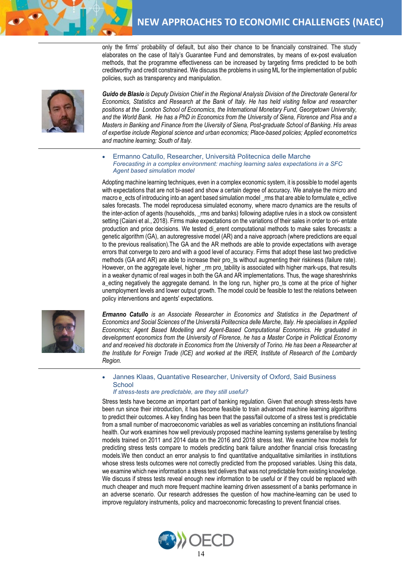only the firms' probability of default, but also their chance to be financially constrained. The study elaborates on the case of Italy's Guarantee Fund and demonstrates, by means of ex-post evaluation methods, that the programme effectiveness can be increased by targeting firms predicted to be both creditworthy and credit constrained. We discuss the problems in using ML for the implementation of public policies, such as transparency and manipulation.



*Guido de Blasio is Deputy Division Chief in the Regional Analysis Division of the Directorate General for Economics, Statistics and Research at the Bank of Italy. He has held visiting fellow and researcher positions at the London School of Economics, the International Monetary Fund, Georgetown University, and the World Bank. He has a PhD in Economics from the University of Siena, Florence and Pisa and a Masters in Banking and Finance from the Uiversity of Siena, Post-graduate School of Banking. His areas of expertise include Regional science and urban economics; Place-based policies; Applied econometrics and machine learning; South of Italy.*

• Ermanno Catullo, Researcher, Università Politecnica delle Marche *Forecasting in a complex environment: maching learning sales expectations in a SFC Agent based simulation model*

Adopting machine learning techniques, even in a complex economic system, it is possible to model agents with expectations that are not bi-ased and show a certain degree of accuracy. We analyse the micro and macro e\_ects of introducing into an agent based simulation model \_rms that are able to formulate e\_ective sales forecasts. The model reproducesa simulated economy, where macro dynamics are the results of the inter-action of agents (households, \_rms and banks) following adaptive rules in a stock ow consistent setting (Caiani et al., 2018). Firms make expectations on the variations of their sales in order to ori- entate production and price decisions. We tested di\_erent computational methods to make sales forecasts: a genetic algorithm (GA), an autoregressive model (AR) and a naive approach (where predictions are equal to the previous realisation).The GA and the AR methods are able to provide expectations with average errors that converge to zero and with a good level of accuracy. Firms that adopt these last two predictive methods (GA and AR) are able to increase their pro\_ts without augmenting their riskiness (failure rate). However, on the aggregate level, higher \_rm pro\_tability is associated with higher mark-ups, that results in a weaker dynamic of real wages in both the GA and AR implementations. Thus, the wage shareshrinks a\_ecting negatively the aggregate demand. In the long run, higher pro\_ts come at the price of higher unemployment levels and lower output growth. The model could be feasible to test the relations between policy interventions and agents' expectations.



*Ermanno Catullo is an Associate Researcher in Economics and Statistics in the Department of Economics and Social Sciences of the Università Politecnica delle Marche, Italy. He specialises in Applied Economics; Agent Based Modelling and Agent-Based Computational Economics. He graduated in development economics from the University of Florence, he has a Master Coripe in Polictical Economy and and received his doctorate in Economics from the University of Torino. He has been a Researcher at the Institute for Foreign Trade (ICE) and worked at the IRER, Institute of Research of the Lombardy Region.* 

• Jannes Klaas, Quantative Researcher, University of Oxford, Said Business **School** 

#### *If stress-tests are predictable, are they still useful?*

Stress tests have become an important part of banking regulation. Given that enough stress-tests have been run since their introduction, it has become feasible to train advanced machine learning algorithms to predict their outcomes. A key finding has been that the pass/fail outcome of a stress test is predictable from a small number of macroeconomic variables as well as variables concerning an institutions financial health. Our work examines how well previously proposed machine learning systems generalise by testing models trained on 2011 and 2014 data on the 2016 and 2018 stress test. We examine how models for predicting stress tests compare to models predicting bank failure andother financial crisis forecasting models.We then conduct an error analysis to find quantitative andqualitative similarities in institutions whose stress tests outcomes were not correctly predicted from the proposed variables. Using this data, we examine which new information a stress test delivers that was not predictable from existing knowledge. We discuss if stress tests reveal enough new information to be useful or if they could be replaced with much cheaper and much more frequent machine learning driven assessment of a banks performance in an adverse scenario. Our research addresses the question of how machine-learning can be used to improve regulatory instruments, policy and macroeconomic forecasting to prevent financial crises.

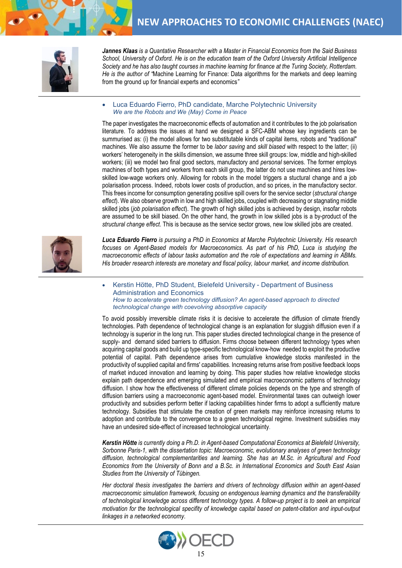

*Jannes Klaas is a Quantative Researcher with a Master in Financial Economics from the Said Business School, University of Oxford. He is on the education team of the Oxford University Artificial Intelligence Society and he has also taught courses in machine learning for finance at the Turing Society, Rotterdam. He is the author of "*Machine Learning for Finance: Data algorithms for the markets and deep learning from the ground up for financial experts and economics*"*

• Luca Eduardo Fierro, PhD candidate, Marche Polytechnic University *We are the Robots and We (May) Come in Peace*

The paper investigates the macroeconomic effects of automation and it contributes to the job polarisation literature. To address the issues at hand we designed a SFC-ABM whose key ingredients can be summurised as: (i) the model allows for two substitutable kinds of capital items, robots and "traditional" machines. We also assume the former to be *labor saving* and *skill biased* with respect to the latter; (ii) workers' heterogeneity in the skills dimension, we assume three skill groups: low, middle and high-skilled workers; (iii) we model two final good sectors, manufactory and *personal* services. The former employs machines of both types and workers from each skill group, the latter do not use machines and hires lowskilled low-wage workers only. Allowing for robots in the model triggers a stuctural change and a job polarisation process. Indeed, robots lower costs of production, and so prices, in the manufactory sector. This frees income for consumption generating positive spill overs for the service sector (*structural change effect*). We also observe growth in low and high skilled jobs, coupled with decreasing or stagnating middle skilled jobs (*job polarisation effect*). The growth of high skilled jobs is achieved by design, insofar robots are assumed to be skill biased. On the other hand, the growth in low skilled jobs is a by-product of the *structural change effect*. This is because as the service sector grows, new low skilled jobs are created.



*Luca Eduardo Fierro is pursuing a PhD in Economics at Marche Polytechnic University. His research focuses on Agent-Based models for Macroeconomics. As part of his PhD, Luca is studying the macroeconomic effects of labour tasks automation and the role of expectations and learning in ABMs. His broader research interests are monetary and fiscal policy, labour market, and income distribution.*

• Kerstin Hötte, PhD Student, Bielefeld University - Department of Business Administration and Economics *How to accelerate green technology diffusion? An agent-based approach to directed technological change with coevolving absorptive capacity*

To avoid possibly irreversible climate risks it is decisive to accelerate the diffusion of climate friendly technologies. Path dependence of technological change is an explanation for sluggish diffusion even if a technology is superior in the long run. This paper studies directed technological change in the presence of supply- and demand sided barriers to diffusion. Firms choose between different technology types when acquiring capital goods and build up type-specific technological know-how needed to exploit the productive potential of capital. Path dependence arises from cumulative knowledge stocks manifested in the productivity of supplied capital and firms' capabilities. Increasing returns arise from positive feedback loops of market induced innovation and learning by doing. This paper studies how relative knowledge stocks explain path dependence and emerging simulated and empirical macroeconomic patterns of technology diffusion. I show how the effectiveness of different climate policies depends on the type and strength of diffusion barriers using a macroeconomic agent-based model. Environmental taxes can outweigh lower productivity and subsidies perform better if lacking capabilities hinder firms to adopt a sufficiently mature technology. Subsidies that stimulate the creation of green markets may reinforce increasing returns to adoption and contribute to the convergence to a green technological regime. Investment subsidies may have an undesired side-effect of increased technological uncertainty.

*Kerstin Hötte is currently doing a Ph.D. in Agent-based Computational Economics at Bielefeld University, Sorbonne Paris-1, with the dissertation topic: Macroeconomic, evolutionary analyses of green technology diffusion, technological complementarities and learning. She has an M.Sc. in Agricultural and Food Economics from the University of Bonn and a B.Sc. in International Economics and South East Asian Studies from the University of Tübingen.*

*Her doctoral thesis investigates the barriers and drivers of technology diffusion within an agent-based macroeconomic simulation framework, focusing on endogenous learning dynamics and the transferability of technological knowledge across different technology types. A follow-up project is to seek an empirical motivation for the technological specifity of knowledge capital based on patent-citation and input-output linkages in a networked economy.*

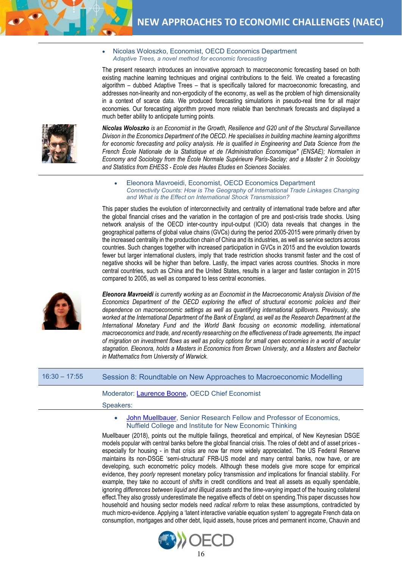• Nicolas Woloszko, Economist, OECD Economics Department *Adaptive Trees, a novel method for economic forecasting*

The present research introduces an innovative approach to macroeconomic forecasting based on both existing machine learning techniques and original contributions to the field. We created a forecasting algorithm – dubbed Adaptive Trees – that is specifically tailored for macroeconomic forecasting, and addresses non-linearity and non-ergodicity of the economy, as well as the problem of high dimensionality in a context of scarce data. We produced forecasting simulations in pseudo-real time for all major economies. Our forecasting algorithm proved more reliable than benchmark forecasts and displayed a much better ability to anticipate turning points.



*Nicolas Woloszko is an Economist in the Growth, Resilience and G20 unit of the Structural Surveillance Divison in the Economics Department of the OECD. He specialises in building machine learning algorithms for economic forecasting and policy analysis. He is qualified in Engineering and Data Science from the French École Nationale de la Statistique et de l'Administration Économique" (ENSAE); Normalien in Economy and Sociology from the École Normale Supérieure Paris-Saclay; and a Master 2 in Sociology and Statistics from EHESS - Ecole des Hautes Etudes en Sciences Sociales.*

• Eleonora Mavroeidi, Economist, OECD Economics Department *Connectivity Counts: How is The Geography of International Trade Linkages Changing and What is the Effect on International Shock Transmission?*

This paper studies the evolution of interconnectivity and centrality of international trade before and after the global financial crises and the variation in the contagion of pre and post-crisis trade shocks. Using network analysis of the OECD inter-country input-output (ICIO) data reveals that changes in the geographical patterns of global value chains (GVCs) during the period 2005-2015 were primarily driven by the increased centrality in the production chain of China and its industries, as well as service sectors across countries. Such changes together with increased participation in GVCs in 2015 and the evolution towards fewer but larger international clusters, imply that trade restriction shocks transmit faster and the cost of negative shocks will be higher than before. Lastly, the impact varies across countries. Shocks in more central countries, such as China and the United States, results in a larger and faster contagion in 2015 compared to 2005, as well as compared to less central economies.



*Eleonora Mavroeidi is currently working as an Eocnomist in the Macroeconomic Analysis Division of the Economics Department of the OECD exploring the effect of structural economic policies and their dependence on macroeconomic settings as well as quantifying international spillovers. Previously, she worked at the International Department of the Bank of England, as well as the Research Department at the International Monetary Fund and the World Bank focusing on economic modelling, international macroeconomics and trade, and recently researching on the effectiveness of trade agreements, the impact of migration on investment flows as well as policy options for small open economies in a world of secular stagnation. Eleonora, holds a Masters in Economics from Brown University, and a Masters and Bachelor in Mathematics from University of Warwick.*

# 16:30 – 17:55 Session 8: Roundtable on New Approaches to Macroeconomic Modelling

#### Moderator: [Laurence Boone](https://www.oecd.org/eco/oecd-appoints-laurence-boone-as-new-chief-economist.htm)**,** OECD Chief Economist

Speakers:

• [John Muellbauer,](https://www.nuffield.ox.ac.uk/people/profiles/john-muellbauer/) Senior Research Fellow and Professor of Economics, Nuffield College and Institute for New Economic Thinking

Muellbauer (2018), points out the multiple failings, theoretical and empirical, of New Keynesian DSGE models popular with central banks before the global financial crisis. The roles of debt and of asset prices especially for housing - in that crisis are now far more widely appreciated. The US Federal Reserve maintains its non-DSGE 'semi-structural' FRB-US model and many central banks, now have, or are developing, such econometric policy models. Although these models give more scope for empirical evidence, they *poorly* represent monetary policy transmission *and* implications for financial stability. For example, they take no account of *shifts* in credit conditions and treat all assets as equally spendable, ignoring *differences between liquid and illiquid assets* and the *time-varying* impact of the housing collateral effect.They also grossly underestimate the negative effects of debt on spending.This paper discusses how household and housing sector models need *radical reform* to relax these assumptions, contradicted by much micro-evidence. Applying a 'latent interactive variable equation system' to aggregate French data on consumption, mortgages and other debt, liquid assets, house prices and permanent income, Chauvin and

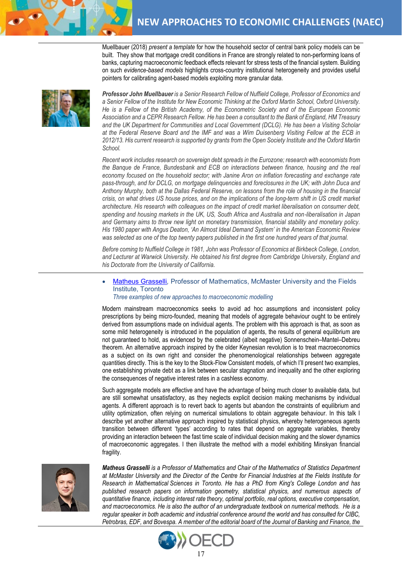Muellbauer (2018) *present a template* for how the household sector of central bank policy models can be built. They show that mortgage credit conditions in France are strongly related to non-performing loans of banks, capturing macroeconomic feedback effects relevant for stress tests of the financial system. Building on such *evidence-based models* highlights cross-country institutional heterogeneity and provides useful pointers for calibrating agent-based models exploiting more granular data.



*Professor John Muellbauer is a Senior Research Fellow of Nuffield College, Professor of Economics and a Senior Fellow of the Institute for New Economic Thinking at the Oxford Martin School, Oxford University. He is a Fellow of the British Academy, of the Econometric Society and of the European Economic Association and a CEPR Research Fellow. He has been a consultant to the Bank of England, HM Treasury and the UK Department for Communities and Local Government (DCLG). He has been a Visiting Scholar at the Federal Reserve Board and the IMF and was a Wim Duisenberg Visiting Fellow at the ECB in 2012/13. His current research is supported by grants from the Open Society Institute and the Oxford Martin School.*

*Recent work includes research on sovereign debt spreads in the Eurozone; research with economists from the Banque de France, Bundesbank and ECB on interactions between finance, housing and the real economy focused on the household sector; with Janine Aron on inflation forecasting and exchange rate pass-through, and for DCLG, on mortgage delinquencies and foreclosures in the UK; with John Duca and Anthony Murphy, both at the Dallas Federal Reserve, on lessons from the role of housing in the financial crisis, on what drives US house prices, and on the implications of the long-term shift in US credit market architecture. His research with colleagues on the impact of credit market liberalisation on consumer debt, spending and housing markets in the UK, US, South Africa and Australia and non*‐*liberalisation in Japan and Germany aims to throw new light on monetary transmission, financial stability and monetary policy. His 1980 paper with Angus Deaton, 'An Almost Ideal Demand System' in the American Economic Review was selected as one of the top twenty papers published in the first one hundred years of that journal.*

*Before coming to Nuffield College in 1981, John was Professor of Economics at Birkbeck College, London, and Lecturer at Warwick University. He obtained his first degree from Cambridge University, England and his Doctorate from the University of California.*

• [Matheus Grasselli](http://www.fields.utoronto.ca/news/Matheus-Grasselli-takes-over-Director-Fields-Centre-Financial-Industries)*,* Professor of Mathematics, McMaster University and the Fields Institute, Toronto

#### *Three examples of new approaches to macroeconomic modelling*

Modern mainstream macroeconomics seeks to avoid ad hoc assumptions and inconsistent policy prescriptions by being micro-founded, meaning that models of aggregate behaviour ought to be entirely derived from assumptions made on individual agents. The problem with this approach is that, as soon as some mild heterogeneity is introduced in the population of agents, the results of general equilibrium are not guaranteed to hold, as evidenced by the celebrated (albeit negative) Sonnenschein–Mantel–Debreu theorem. An alternative approach inspired by the older Keynesian revolution is to treat macroeconomics as a subject on its own right and consider the phenomenological relationships between aggregate quantities directly. This is the key to the Stock-Flow Consistent models, of which I'll present two examples, one establishing private debt as a link between secular stagnation and inequality and the other exploring the consequences of negative interest rates in a cashless economy.

Such aggregate models are effective and have the advantage of being much closer to available data, but are still somewhat unsatisfactory, as they neglects explicit decision making mechanisms by individual agents. A different approach is to revert back to agents but abandon the constraints of equilibrium and utility optimization, often relying on numerical simulations to obtain aggregate behaviour. In this talk I describe yet another alternative approach inspired by statistical physics, whereby heterogeneous agents transition between different 'types' according to rates that depend on aggregate variables, thereby providing an interaction between the fast time scale of individual decision making and the slower dynamics of macroeconomic aggregates. I then illustrate the method with a model exhibiting Minskyan financial fragility.



*Matheus Grasselli is a Professor of Mathematics and Chair of the Mathematics of Statistics Department at McMaster University and the Director of the Centre for Financial Industries at the Fields Institute for Research in Mathematical Sciences in Toronto. He has a PhD from King's College London and has published research papers on information geometry, statistical physics, and numerous aspects of quantitative finance, including interest rate theory, optimal portfolio, real options, executive compensation, and macroeconomics. He is also the author of an undergraduate textbook on numerical methods. He is a regular speaker in both academic and industrial conference around the world and has consulted for CIBC, Petrobras, EDF, and Bovespa. A member of the editorial board of the Journal of Banking and Finance, the*